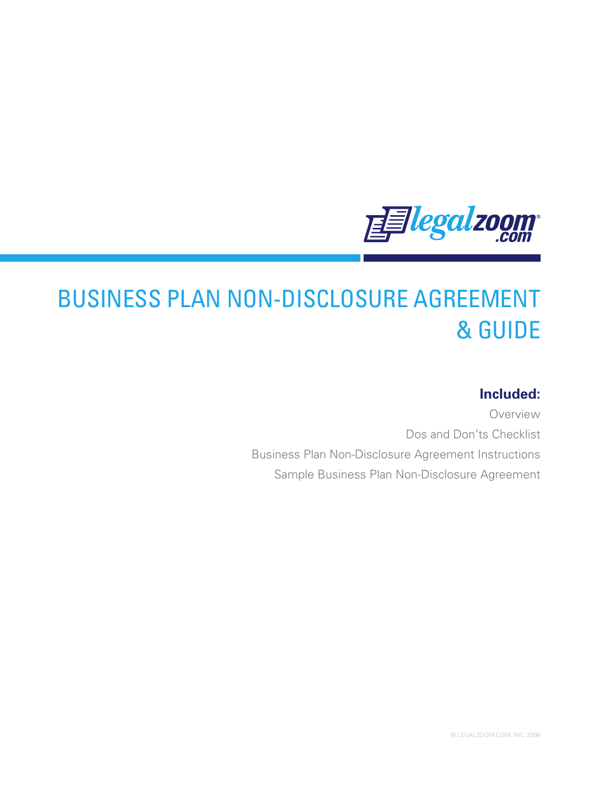

# BUSINESS PLAN NON-DISCLOSURE AGREEMENT & GUIDE

# **Included:**

Overview Dos and Don'ts Checklist Business Plan Non-Disclosure Agreement Instructions Sample Business Plan Non-Disclosure Agreement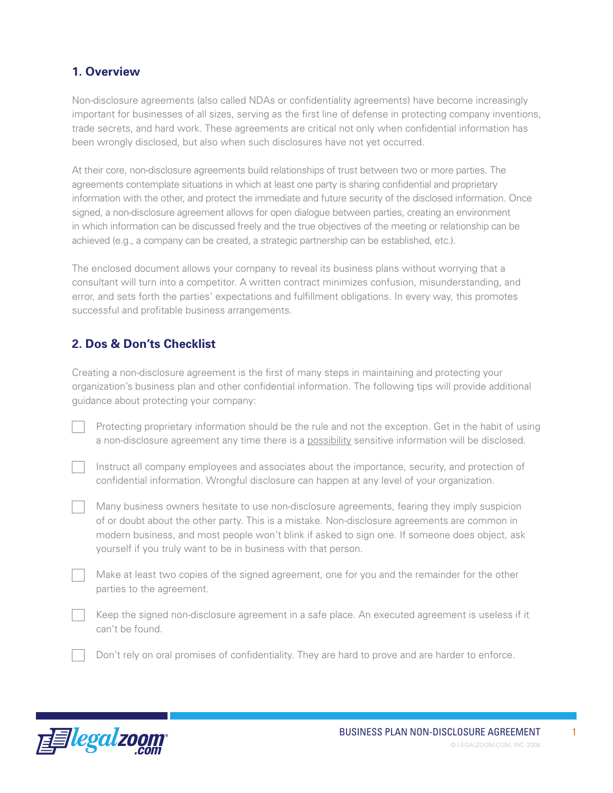### **1. Overview**

Non-disclosure agreements (also called NDAs or confidentiality agreements) have become increasingly important for businesses of all sizes, serving as the first line of defense in protecting company inventions, trade secrets, and hard work. These agreements are critical not only when confidential information has been wrongly disclosed, but also when such disclosures have not yet occurred.

At their core, non-disclosure agreements build relationships of trust between two or more parties. The agreements contemplate situations in which at least one party is sharing confidential and proprietary information with the other, and protect the immediate and future security of the disclosed information. Once signed, a non-disclosure agreement allows for open dialogue between parties, creating an environment in which information can be discussed freely and the true objectives of the meeting or relationship can be achieved (e.g., a company can be created, a strategic partnership can be established, etc.).

The enclosed document allows your company to reveal its business plans without worrying that a consultant will turn into a competitor. A written contract minimizes confusion, misunderstanding, and error, and sets forth the parties' expectations and fulfillment obligations. In every way, this promotes successful and profitable business arrangements.

## **2. Dos & Don'ts Checklist**

Creating a non-disclosure agreement is the first of many steps in maintaining and protecting your organization's business plan and other confidential information. The following tips will provide additional guidance about protecting your company:

Protecting proprietary information should be the rule and not the exception. Get in the habit of using a non-disclosure agreement any time there is a possibility sensitive information will be disclosed.

Instruct all company employees and associates about the importance, security, and protection of confidential information. Wrongful disclosure can happen at any level of your organization.

Many business owners hesitate to use non-disclosure agreements, fearing they imply suspicion of or doubt about the other party. This is a mistake. Non-disclosure agreements are common in modern business, and most people won't blink if asked to sign one. If someone does object, ask yourself if you truly want to be in business with that person.

Make at least two copies of the signed agreement, one for you and the remainder for the other parties to the agreement.

Keep the signed non-disclosure agreement in a safe place. An executed agreement is useless if it can't be found.

Don't rely on oral promises of confidentiality. They are hard to prove and are harder to enforce.

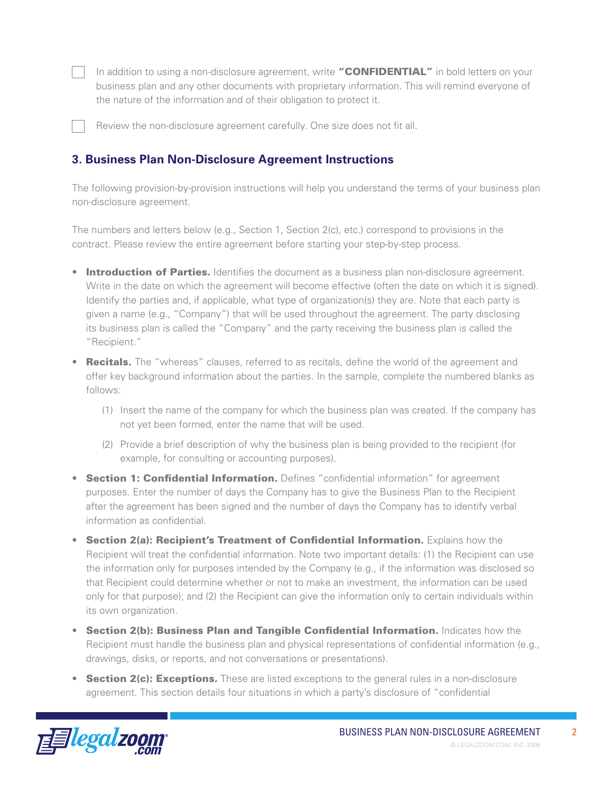In addition to using a non-disclosure agreement, write "CONFIDENTIAL" in bold letters on your business plan and any other documents with proprietary information. This will remind everyone of the nature of the information and of their obligation to protect it.

Review the non-disclosure agreement carefully. One size does not fit all.

#### **3. Business Plan Non-Disclosure Agreement Instructions**

The following provision-by-provision instructions will help you understand the terms of your business plan non-disclosure agreement.

The numbers and letters below (e.g., Section 1, Section 2(c), etc.) correspond to provisions in the contract. Please review the entire agreement before starting your step-by-step process.

- Introduction of Parties. Identifies the document as a business plan non-disclosure agreement. Write in the date on which the agreement will become effective (often the date on which it is signed). Identify the parties and, if applicable, what type of organization(s) they are. Note that each party is given a name (e.g., "Company") that will be used throughout the agreement. The party disclosing its business plan is called the "Company" and the party receiving the business plan is called the "Recipient."
- Recitals. The "whereas" clauses, referred to as recitals, define the world of the agreement and offer key background information about the parties. In the sample, complete the numbered blanks as follows:
	- (1) Insert the name of the company for which the business plan was created. If the company has not yet been formed, enter the name that will be used.
	- (2) Provide a brief description of why the business plan is being provided to the recipient (for example, for consulting or accounting purposes).
- **Section 1: Confidential Information.** Defines "confidential information" for agreement purposes. Enter the number of days the Company has to give the Business Plan to the Recipient after the agreement has been signed and the number of days the Company has to identify verbal information as confidential.
- Section 2(a): Recipient's Treatment of Confidential Information. Explains how the Recipient will treat the confidential information. Note two important details: (1) the Recipient can use the information only for purposes intended by the Company (e.g., if the information was disclosed so that Recipient could determine whether or not to make an investment, the information can be used only for that purpose); and (2) the Recipient can give the information only to certain individuals within its own organization.
- Section 2(b): Business Plan and Tangible Confidential Information. Indicates how the Recipient must handle the business plan and physical representations of confidential information (e.g., drawings, disks, or reports, and not conversations or presentations).
- Section 2(c): Exceptions. These are listed exceptions to the general rules in a non-disclosure agreement. This section details four situations in which a party's disclosure of "confidential

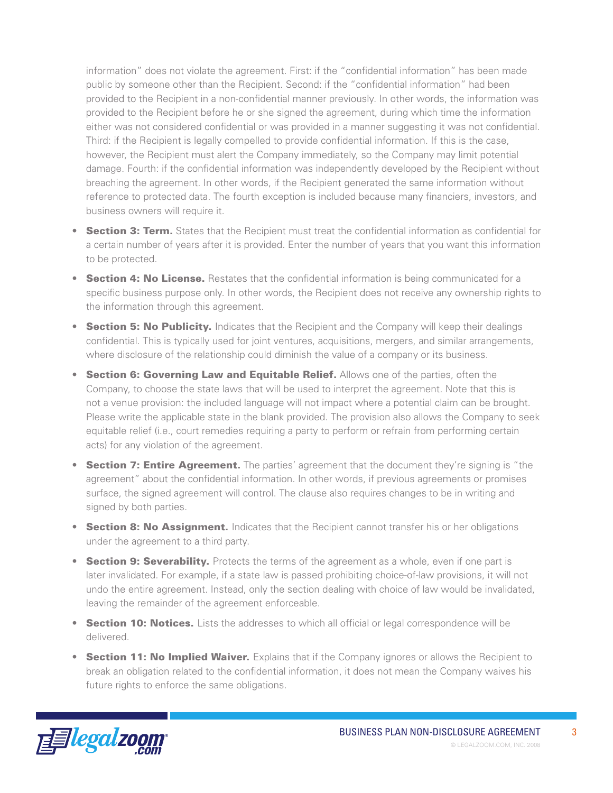information" does not violate the agreement. First: if the "confidential information" has been made public by someone other than the Recipient. Second: if the "confidential information" had been provided to the Recipient in a non-confidential manner previously. In other words, the information was provided to the Recipient before he or she signed the agreement, during which time the information either was not considered confidential or was provided in a manner suggesting it was not confidential. Third: if the Recipient is legally compelled to provide confidential information. If this is the case, however, the Recipient must alert the Company immediately, so the Company may limit potential damage. Fourth: if the confidential information was independently developed by the Recipient without breaching the agreement. In other words, if the Recipient generated the same information without reference to protected data. The fourth exception is included because many financiers, investors, and business owners will require it.

- Section 3: Term. States that the Recipient must treat the confidential information as confidential for a certain number of years after it is provided. Enter the number of years that you want this information to be protected.
- Section 4: No License. Restates that the confidential information is being communicated for a specific business purpose only. In other words, the Recipient does not receive any ownership rights to the information through this agreement.
- Section 5: No Publicity. Indicates that the Recipient and the Company will keep their dealings confidential. This is typically used for joint ventures, acquisitions, mergers, and similar arrangements, where disclosure of the relationship could diminish the value of a company or its business.
- **Section 6: Governing Law and Equitable Relief.** Allows one of the parties, often the Company, to choose the state laws that will be used to interpret the agreement. Note that this is not a venue provision: the included language will not impact where a potential claim can be brought. Please write the applicable state in the blank provided. The provision also allows the Company to seek equitable relief (i.e., court remedies requiring a party to perform or refrain from performing certain acts) for any violation of the agreement.
- **Section 7: Entire Agreement.** The parties' agreement that the document they're signing is "the agreement" about the confidential information. In other words, if previous agreements or promises surface, the signed agreement will control. The clause also requires changes to be in writing and signed by both parties.
- **Section 8: No Assignment.** Indicates that the Recipient cannot transfer his or her obligations under the agreement to a third party.
- Section 9: Severability. Protects the terms of the agreement as a whole, even if one part is later invalidated. For example, if a state law is passed prohibiting choice-of-law provisions, it will not undo the entire agreement. Instead, only the section dealing with choice of law would be invalidated, leaving the remainder of the agreement enforceable.
- Section 10: Notices. Lists the addresses to which all official or legal correspondence will be delivered.
- Section 11: No Implied Waiver. Explains that if the Company ignores or allows the Recipient to break an obligation related to the confidential information, it does not mean the Company waives his future rights to enforce the same obligations.

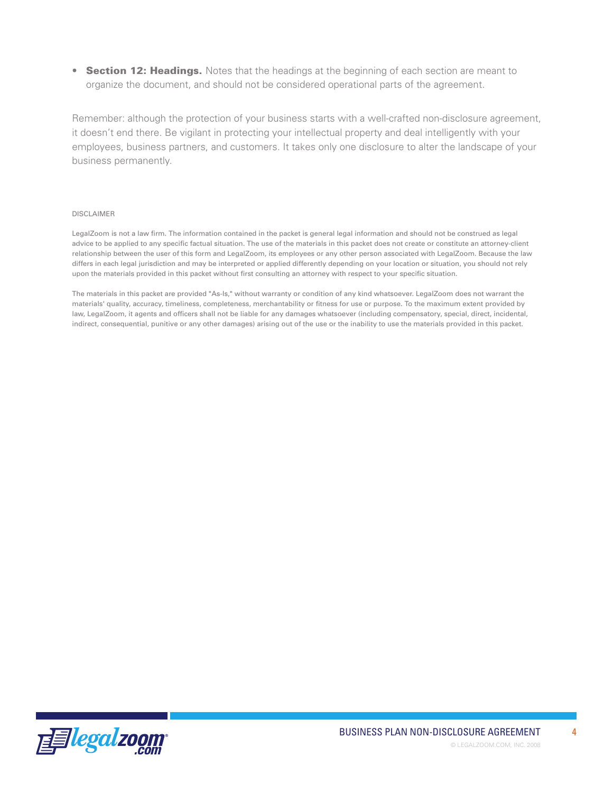• Section 12: Headings. Notes that the headings at the beginning of each section are meant to organize the document, and should not be considered operational parts of the agreement.

Remember: although the protection of your business starts with a well-crafted non-disclosure agreement, it doesn't end there. Be vigilant in protecting your intellectual property and deal intelligently with your employees, business partners, and customers. It takes only one disclosure to alter the landscape of your business permanently.

#### DISCLAIMER

LegalZoom is not a law firm. The information contained in the packet is general legal information and should not be construed as legal advice to be applied to any specific factual situation. The use of the materials in this packet does not create or constitute an attorney-client relationship between the user of this form and LegalZoom, its employees or any other person associated with LegalZoom. Because the law differs in each legal jurisdiction and may be interpreted or applied differently depending on your location or situation, you should not rely upon the materials provided in this packet without first consulting an attorney with respect to your specific situation.

The materials in this packet are provided "As-Is," without warranty or condition of any kind whatsoever. LegalZoom does not warrant the materials' quality, accuracy, timeliness, completeness, merchantability or fitness for use or purpose. To the maximum extent provided by law, LegalZoom, it agents and officers shall not be liable for any damages whatsoever (including compensatory, special, direct, incidental, indirect, consequential, punitive or any other damages) arising out of the use or the inability to use the materials provided in this packet.